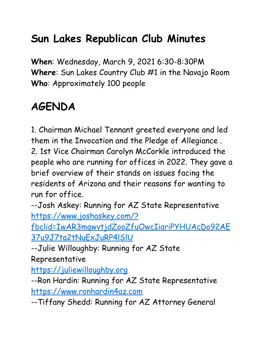## **Sun Lakes Republican Club Minutes**

**When**: Wednesday, March 9, 2021 6:30-8:30PM **Where**: Sun Lakes Country Club #1 in the Navajo Room **Who**: Approximately 100 people

## **AGENDA**

1. Chairman Michael Tennant greeted everyone and led them in the Invocation and the Pledge of Allegiance . 2. 1st Vice Chairman Carolyn McCorkle introduced the people who are running for offices in 2022. They gave a brief overview of their stands on issues facing the residents of Arizona and their reasons for wanting to run for office.

--Josh Askey: Running for AZ State Representative [https://www.joshaskey.com/?](https://www.joshaskey.com/?fbclid=IwAR3mqwvtjdZooZfuOwcIiariPYHUAcDo92AE37u9J7ta2tNuExJuRP4lSlU)

[fbclid=IwAR3mqwvtjdZooZfuOwcIiariPYHUAcDo92AE](https://www.joshaskey.com/?fbclid=IwAR3mqwvtjdZooZfuOwcIiariPYHUAcDo92AE37u9J7ta2tNuExJuRP4lSlU) [37u9J7ta2tNuExJuRP4lSlU](https://www.joshaskey.com/?fbclid=IwAR3mqwvtjdZooZfuOwcIiariPYHUAcDo92AE37u9J7ta2tNuExJuRP4lSlU)

--Julie Willoughby: Running for AZ State Representative

[https://juliewilloughby.org](https://juliewilloughby.org/)

--Ron Hardin: Running for AZ State Representative [https://www.ronhardin4az.com](https://www.ronhardin4az.com/)

--Tiffany Shedd: Running for AZ Attorney General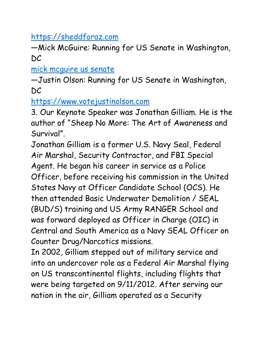[https://sheddforaz.com](https://sheddforaz.com/)

—Mick McGuire: Running for US Senate in Washington, DC

[mick mcguire us senate](https://www.google.com/search?client=safari&rls=en&q=mick+mcguire+us+senate&ie=UTF-8&oe=UTF-8)

—Justin Olson: Running for US Senate in Washington, DC

[https://www.votejustinolson.com](https://www.votejustinolson.com/)

3. Our Keynote Speaker was Jonathan Gilliam. He is the author of "Sheep No More: The Art of Awareness and Survival".

Jonathan Gilliam is a former U.S. Navy Seal, Federal Air Marshal, Security Contractor, and FBI Special Agent. He began his career in service as a Police Officer, before receiving his commission in the United States Navy at Officer Candidate School (OCS). He then attended Basic Underwater Demolition / SEAL (BUD/S) training and US Army RANGER School and was forward deployed as Officer in Charge (OIC) in Central and South America as a Navy SEAL Officer on Counter Drug/Narcotics missions.

In 2002, Gilliam stepped out of military service and into an undercover role as a Federal Air Marshal flying on US transcontinental flights, including flights that were being targeted on 9/11/2012. After serving our nation in the air, Gilliam operated as a Security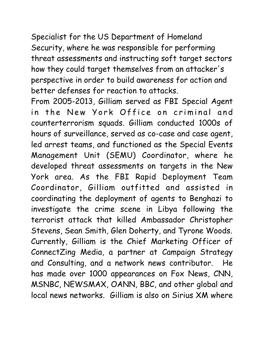Specialist for the US Department of Homeland Security, where he was responsible for performing threat assessments and instructing soft target sectors how they could target themselves from an attacker's perspective in order to build awareness for action and better defenses for reaction to attacks.

From 2005-2013, Gilliam served as FBI Special Agent in the New York Office on criminal and counterterrorism squads. Gilliam conducted 1000s of hours of surveillance, served as co-case and case agent, led arrest teams, and functioned as the Special Events Management Unit (SEMU) Coordinator, where he developed threat assessments on targets in the New York area. As the FBI Rapid Deployment Team Coordinator, Gilliam outfitted and assisted in coordinating the deployment of agents to Benghazi to investigate the crime scene in Libya following the terrorist attack that killed Ambassador Christopher Stevens, Sean Smith, Glen Doherty, and Tyrone Woods. Currently, Gilliam is the Chief Marketing Officer of ConnectZing Media, a partner at Campaign Strategy and Consulting, and a network news contributor. He has made over 1000 appearances on Fox News, CNN, MSNBC, NEWSMAX, OANN, BBC, and other global and local news networks. Gilliam is also on Sirius XM where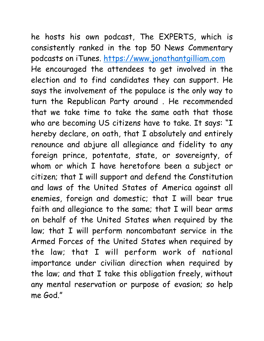he hosts his own podcast, The EXPERTS, which is consistently ranked in the top 50 News Commentary podcasts on iTunes. [https://www.jonathantgilliam.com](https://www.jonathantgilliam.com/) He encouraged the attendees to get involved in the election and to find candidates they can support. He says the involvement of the populace is the only way to turn the Republican Party around . He recommended that we take time to take the same oath that those who are becoming US citizens have to take. It says: "I hereby declare, on oath, that I absolutely and entirely renounce and abjure all allegiance and fidelity to any foreign prince, potentate, state, or sovereignty, of whom or which I have heretofore been a subject or citizen; that I will support and defend the Constitution and laws of the United States of America against all enemies, foreign and domestic; that I will bear true faith and allegiance to the same; that I will bear arms on behalf of the United States when required by the law; that I will perform noncombatant service in the Armed Forces of the United States when required by the law; that I will perform work of national importance under civilian direction when required by the law; and that I take this obligation freely, without any mental reservation or purpose of evasion; so help me God"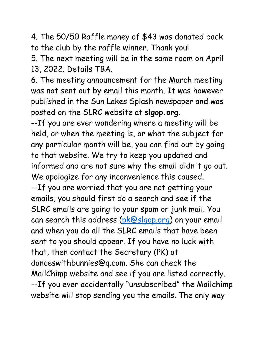4. The 50/50 Raffle money of \$43 was donated back to the club by the raffle winner. Thank you!

5. The next meeting will be in the same room on April 13, 2022. Details TBA.

6. The meeting announcement for the March meeting was not sent out by email this month. It was however published in the Sun Lakes Splash newspaper and was posted on the SLRC website at **slgop.org**.

--If you are ever wondering where a meeting will be held, or when the meeting is, or what the subject for any particular month will be, you can find out by going to that website. We try to keep you updated and informed and are not sure why the email didn't go out. We apologize for any inconvenience this caused. --If you are worried that you are not getting your emails, you should first do a search and see if the SLRC emails are going to your spam or junk mail. You can search this address [\(pk@slgop.org\)](mailto:pk@slgop.org) on your email and when you do all the SLRC emails that have been sent to you should appear. If you have no luck with that, then contact the Secretary (PK) at danceswithbunnies@q.com. She can check the MailChimp website and see if you are listed correctly. --If you ever accidentally "unsubscribed" the Mailchimp website will stop sending you the emails. The only way